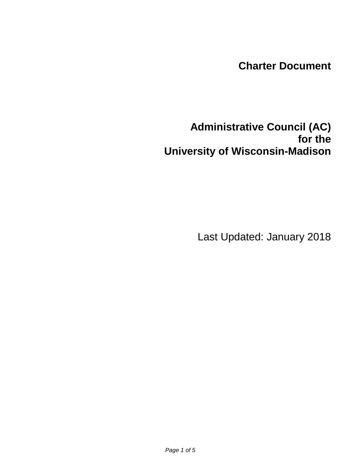## **Charter Document**

# **Administrative Council (AC) for the University of Wisconsin-Madison**

Last Updated: January 2018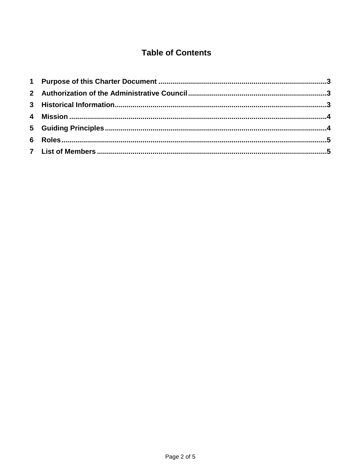### **Table of Contents**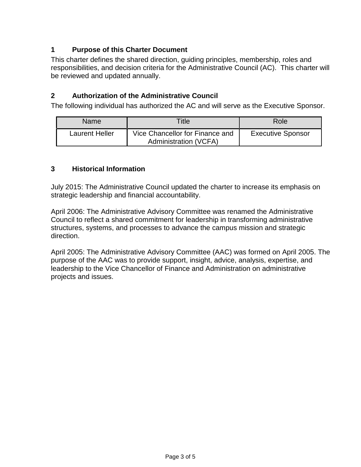### **1 Purpose of this Charter Document**

This charter defines the shared direction, guiding principles, membership, roles and responsibilities, and decision criteria for the Administrative Council (AC). This charter will be reviewed and updated annually.

### **2 Authorization of the Administrative Council**

The following individual has authorized the AC and will serve as the Executive Sponsor.

| <b>Name</b>           | Title                                                           | Role                     |
|-----------------------|-----------------------------------------------------------------|--------------------------|
| <b>Laurent Heller</b> | Vice Chancellor for Finance and<br><b>Administration (VCFA)</b> | <b>Executive Sponsor</b> |

#### **3 Historical Information**

July 2015: The Administrative Council updated the charter to increase its emphasis on strategic leadership and financial accountability.

April 2006: The Administrative Advisory Committee was renamed the Administrative Council to reflect a shared commitment for leadership in transforming administrative structures, systems, and processes to advance the campus mission and strategic direction.

April 2005: The Administrative Advisory Committee (AAC) was formed on April 2005. The purpose of the AAC was to provide support, insight, advice, analysis, expertise, and leadership to the Vice Chancellor of Finance and Administration on administrative projects and issues.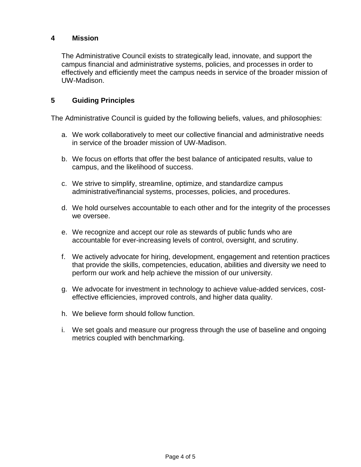#### **4 Mission**

The Administrative Council exists to strategically lead, innovate, and support the campus financial and administrative systems, policies, and processes in order to effectively and efficiently meet the campus needs in service of the broader mission of UW-Madison.

#### **5 Guiding Principles**

The Administrative Council is guided by the following beliefs, values, and philosophies:

- a. We work collaboratively to meet our collective financial and administrative needs in service of the broader mission of UW-Madison.
- b. We focus on efforts that offer the best balance of anticipated results, value to campus, and the likelihood of success.
- c. We strive to simplify, streamline, optimize, and standardize campus administrative/financial systems, processes, policies, and procedures.
- d. We hold ourselves accountable to each other and for the integrity of the processes we oversee.
- e. We recognize and accept our role as stewards of public funds who are accountable for ever-increasing levels of control, oversight, and scrutiny.
- f. We actively advocate for hiring, development, engagement and retention practices that provide the skills, competencies, education, abilities and diversity we need to perform our work and help achieve the mission of our university.
- g. We advocate for investment in technology to achieve value-added services, costeffective efficiencies, improved controls, and higher data quality.
- h. We believe form should follow function.
- i. We set goals and measure our progress through the use of baseline and ongoing metrics coupled with benchmarking.